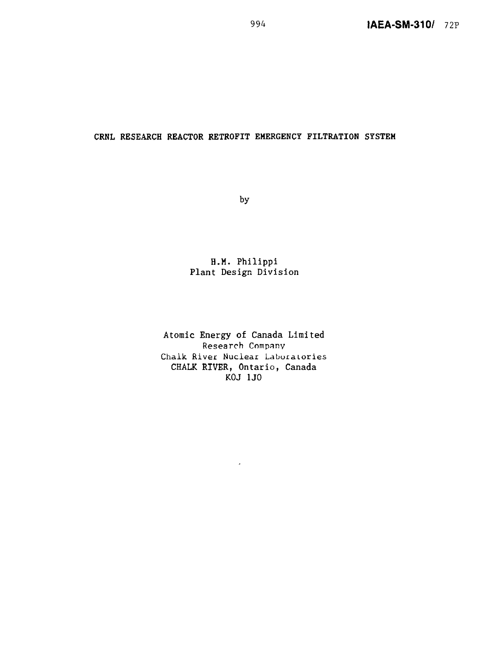## **CRNL RESEARCH REACTOR RETROFIT EMERGENCY FILTRATION SYSTEH**

by

## **H.M. Philippi Plant Design Division**

**Atomic Energy of Canada Limited** Research Company Chalk River Nuclear Laboraiories **CHALK RIVER, Ontario, Canada KOJ 1J0**

l,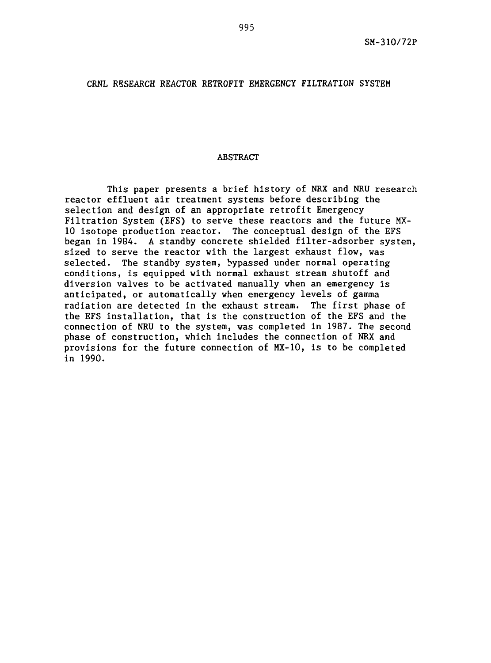# CRNL RESEARCH REACTOR RETROFIT EMERGENCY FILTRATION SYSTEM

## ABSTRACT

This paper presents a brief history of NRX and NRU research reactor effluent air treatment systems before describing the selection and design of an appropriate retrofit Emergency Filtration System (EFS) to serve these reactors and the future MX-10 isotope production reactor. The conceptual design of the EFS began in 1984. A standby concrete shielded filter-adsorber system, sized to serve the reactor with the largest exhaust flow, was selected. The standby system, bypassed under normal operating conditions, is equipped with normal exhaust stream shutoff and diversion valves to be activated manually when an emergency is anticipated, or automatically when emergency levels of gamma radiation are detected in the exhaust stream. The first phase of the EFS installation, that is the construction of the EFS and the connection of NRU to the system, was completed in 1987. The second phase of construction, which includes the connection of NRX and provisions for the future connection of MX-10, is to be completed in 1990.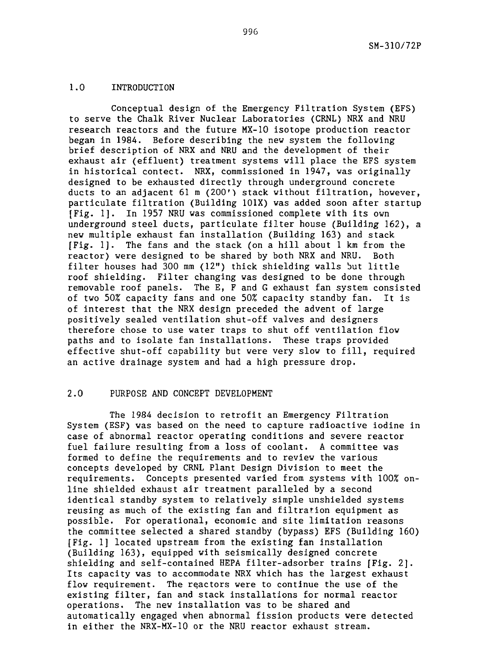## 1.0 INTRODUCTION

Conceptual design of the Emergency Filtration System (EFS) to serve the Chalk River Nuclear Laboratories (CRNL) NRX and NRU research reactors and the future MX-10 isotope production reactor began in 1984. Before describing the new system the following brief description of NRX and NRU and the development of their exhaust air (effluent) treatment systems will place the EFS system in historical contect. NRX, commissioned in 1947, was originally designed to be exhausted directly through underground concrete ducts to an adjacent 61 m (200') stack without filtration, however, particulate filtration (Building 101X) was added soon after startup [Fig. 1]. In 1957 NRU was commissioned complete with its own underground steel ducts, particulate filter house (Building 162), a new multiple exhaust fan installation (Building 163) and stack [Fig. 1]. The fans and the stack (on a hill about 1 km from the reactor) were designed to be shared by both NRX and NRU. Both filter houses had 300 mm (12") thick shielding walls but little roof shielding. Filter changing was designed to be done through removable roof panels. The E, F and G exhaust fan system consisted of two 50£ capacity fans and one 50£ capacity standby fan. It is of interest that the NRX design preceded the advent of large positively sealed ventilation shut-off valves and designers therefore chose to use water traps to shut off ventilation flow paths and to isolate fan installations. These traps provided effective shut-off capability but were very slow to fill, required an active drainage system and had a high pressure drop.

## 2.0 PURPOSE AND CONCEPT DEVELOPMENT

The 1984 decision to retrofit an Emergency Filtration System (ESF) was based on the need to capture radioactive iodine in case of abnormal reactor operating conditions and severe reactor fuel failure resulting from a loss of coolant. A committee was formed to define the requirements and to review the various concepts developed by CRNL Plant Design Division to meet the requirements. Concepts presented varied from systems with 100% online shielded exhaust air treatment paralleled by a second identical standby system to relatively simple unshielded systems reusing as much of the existing fan and filtration equipment as possible. For operational, economic and site limitation reasons the committee selected a shared standby (bypass) EFS (Building 160) [Fig. 1] located upstream from the existing fan installation (Building 163), equipped with seismically designed concrete shielding and self-contained HEPA filter-adsorber trains [Fig. 2]. Its capacity was to accommodate NRX which has the largest exhaust flow requirement. The reactors were to continue the use of the existing filter, fan and stack installations for normal reactor operations. The new installation was to be shared and automatically engaged when abnormal fission products were detected in either the NRX-MX-10 or the NRU reactor exhaust stream.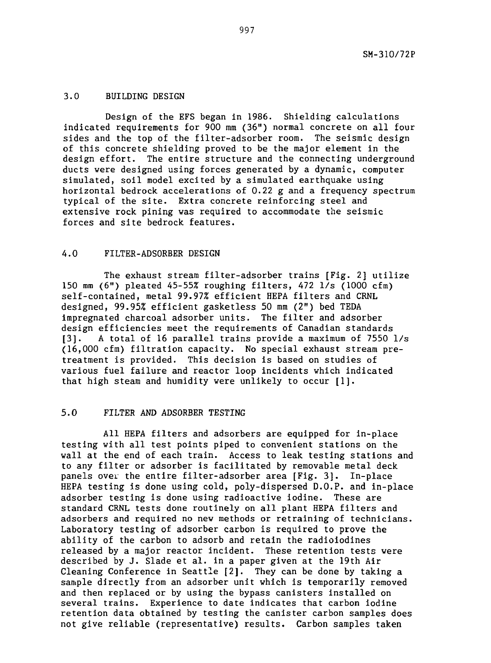## 3.0 BUILDING DESIGN

Design of the EFS began in 1986. Shielding calculations indicated requirements for 900 mm (36") normal concrete on all four sides and the top of the filter-adsorber room. The seismic design of this concrete shielding proved to be the major element in the design effort. The entire structure and the connecting underground ducts were designed using forces generated by a dynamic, computer simulated, soil model excited by a simulated earthquake using horizontal bedrock accelerations of 0.22 g and a frequency spectrum typical of the site. Extra concrete reinforcing steel and extensive rock pining was required to accommodate the seismic forces and site bedrock features.

## 4.0 FILTER-ADSORBER DESIGN

The exhaust stream filter-adsorber trains [Fig. 2] utilize 150 mm  $(6")$  pleated 45-55% roughing filters, 472  $1/s$  (1000 cfm) self-contained, metal 99.97% efficient HEPA filters and CRNL designed, 99.95% efficient gasketless 50 mm (2") bed TEDA impregnated charcoal adsorber units. The filter and adsorber design efficiencies meet the requirements of Canadian standards [3]. A total of 16 parallel trains provide a maximum of 7550 1/s (16,000 cfm) filtration capacity. No special exhaust stream pretreatment is provided. This decision is based on studies of various fuel failure and reactor loop incidents which indicated that high steam and humidity were unlikely to occur [1].

# 5.0 FILTER AND ADSORBER TESTING

All HEPA filters and adsorbers are equipped for in-place testing with all test points piped to convenient stations on the wall at the end of each train. Access to leak testing stations and to any filter or adsorber is facilitated by removable metal deck panels ovei the entire filter-adsorber area [Fig. 3]. In-place HEPA testing is done using cold, poly-dispersed D.O.P. and in-place adsorber testing is done using radioactive iodine. These are standard CRNL tests done routinely on all plant HEPA filters and adsorbers and required no new methods or retraining of technicians. Laboratory testing of adsorber carbon is required to prove the ability of the carbon to adsorb and retain the radioiodines released by a major reactor incident. These retention tests were described by J. Slade et al. in a paper given at the 19th Air Cleaning Conference in Seattle [2]. They can be done by taking a sample directly from an adsorber unit which is temporarily removed and then replaced or by using the bypass canisters installed on several trains. Experience to date indicates that carbon iodine retention data obtained by testing the canister carbon samples does not give reliable (representative) results. Carbon samples taken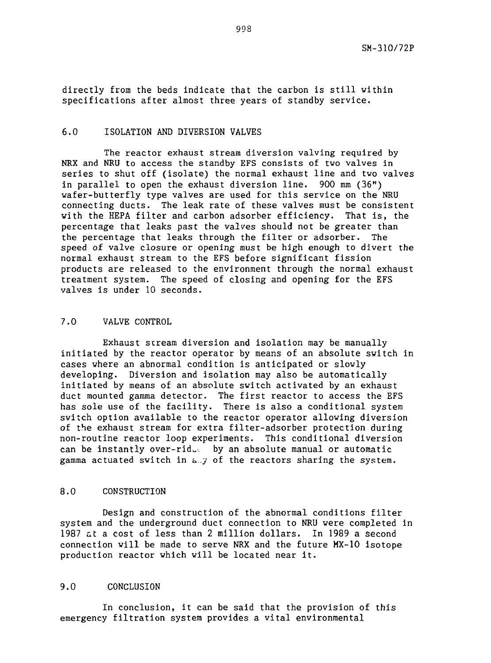directly from the beds indicate that the carbon is still within specifications after almost three years of standby service.

## 6.0 ISOLATION AND DIVERSION VALVES

The reactor exhaust stream diversion valving required by NRX and NRU to access the standby EFS consists of two valves in series to shut off (isolate) the normal exhaust line and two valves in parallel to open the exhaust diversion line. 900 mm (36") wafer-butterfly type valves are used for this service on the NRU connecting ducts. The leak rate of these valves must be consistent with the HEPA filter and carbon adsorber efficiency. That is, the percentage that leaks past the valves should not be greater than the percentage that leaks through the filter or adsorber. The speed of valve closure or opening must be high enough to divert the normal exhaust stream to the EFS before significant fission products are released to the environment through the normal exhaust treatment system. The speed of closing and opening for the EFS valves is under 10 seconds.

## 7.0 VALVE CONTROL

Exhaust stream diversion and isolation may be manually initiated by the reactor operator by means of an absolute switch in cases where an abnormal condition is anticipated or slowly developing. Diversion and isolation may also be automatically initiated by means of an absolute switch activated by an exhaust duct mounted gamma detector. The first reactor to access the EFS has sole use of the facility. There is also a conditional system switch option available to the reactor operator allowing diversion of the exhaust stream for extra filter-adsorber protection during non-routine reactor loop experiments. This conditional diversion can be instantly over-rid., by an absolute manual or automatic gamma actuated switch in a.y of the reactors sharing the system.

### 8.0 CONSTRUCTION

Design and construction of the abnormal conditions filter system and the underground duct connection to NRU were completed in 1987 at a cost of less than 2 million dollars. In 1989 a second connection will be made to serve NRX and the future MX-10 isotope production reactor which will be located near it.

## 9.0 CONCLUSION

In conclusion, it can be said that the provision of this emergency filtration system provides a vital environmental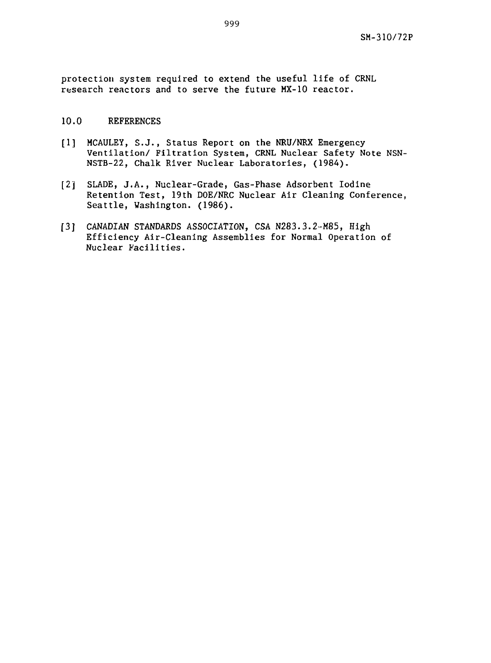protection system required to extend the useful life of CRNL research reactors and to serve the future MX-10 reactor.

## 10.0 REFERENCES

- [1] MCAULEY, S.J., Status Report on the NRU/NRX Emergency Ventilation/ Filtration System, CRNL Nuclear Safety Note NSN-NSTB-22, Chalk River Nuclear Laboratories, (1984).
- [2] SLADE, J.A., Nuclear-Grade, Gas-Phase Adsorbent Iodine Retention Test, 19th DOE/NRC Nuclear Air Cleaning Conference, Seattle, Washington. (1986).
- [3] CANADIAN STANDARDS ASSOCIATION, CSA N283.3.2-M85, High Efficiency Air-Cleaning Assemblies for Normal Operation of Nuclear Facilities.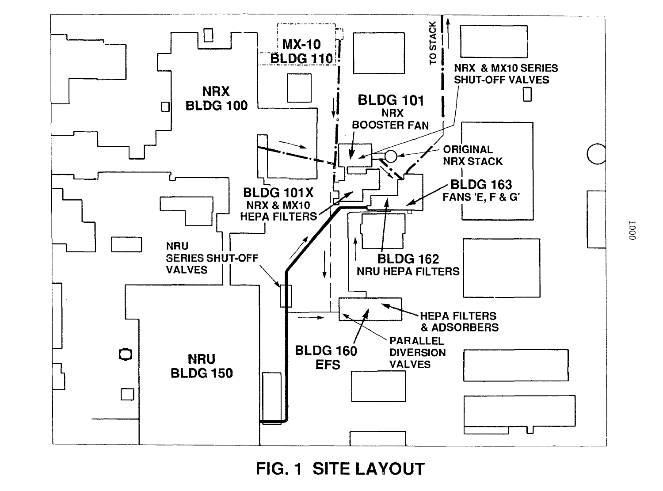

FIG. 1 SITE LAYOUT

 $0001$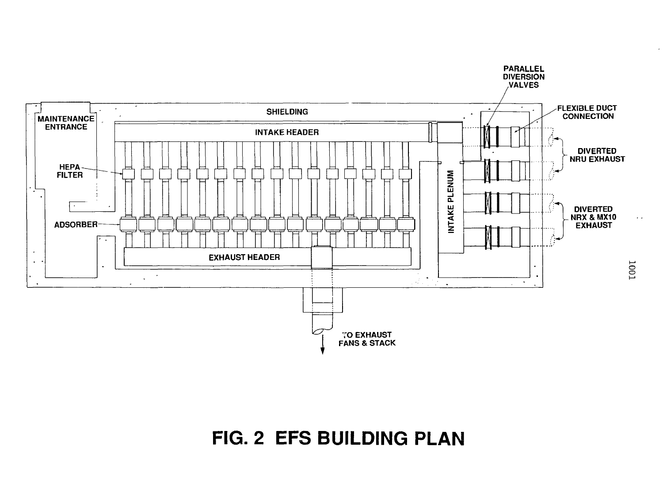

# FIG. 2 EFS BUILDING PLAN